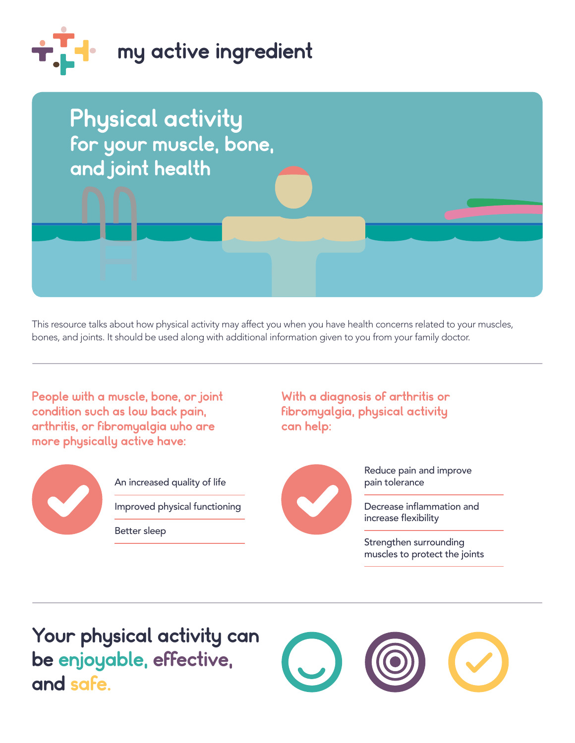



 This resource talks about how physical activity may affect you when you have health concerns related to your muscles, bones, and joints. It should be used along with additional information given to you from your family doctor.

People with a muscle, bone, or joint condition such as low back pain, arthritis, or fibromyalgia who are more physically active have:



An increased quality of life

Improved physical functioning

Better sleep

With a diagnosis of arthritis or fbromyalgia, physical activity can help:



Reduce pain and improve pain tolerance

Decrease inflammation and increase flexibility

Strengthen surrounding muscles to protect the joints

 be enjoyable, effective, Your physical activity can and safe.